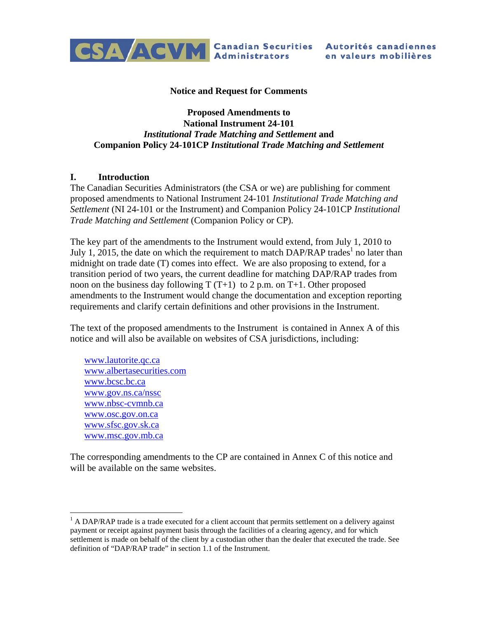

#### **Notice and Request for Comments**

#### **Proposed Amendments to National Instrument 24-101**  *Institutional Trade Matching and Settlement* **and Companion Policy 24-101CP** *Institutional Trade Matching and Settlement*

#### **I. Introduction**

The Canadian Securities Administrators (the CSA or we) are publishing for comment proposed amendments to National Instrument 24-101 *Institutional Trade Matching and Settlement* (NI 24-101 or the Instrument) and Companion Policy 24-101CP *Institutional Trade Matching and Settlement* (Companion Policy or CP).

The key part of the amendments to the Instrument would extend, from July 1, 2010 to July 1, 2015, the date on which the requirement to match DAP/RAP trades<sup>1</sup> no later than midnight on trade date (T) comes into effect. We are also proposing to extend, for a transition period of two years, the current deadline for matching DAP/RAP trades from noon on the business day following  $T(T+1)$  to 2 p.m. on T+1. Other proposed amendments to the Instrument would change the documentation and exception reporting requirements and clarify certain definitions and other provisions in the Instrument.

The text of the proposed amendments to the Instrument is contained in Annex A of this notice and will also be available on websites of CSA jurisdictions, including:

www.lautorite.qc.ca www.albertasecurities.com www.bcsc.bc.ca www.gov.ns.ca/nssc www.nbsc-cvmnb.ca www.osc.gov.on.ca www.sfsc.gov.sk.ca www.msc.gov.mb.ca

 $\overline{a}$ 

The corresponding amendments to the CP are contained in Annex C of this notice and will be available on the same websites.

 $<sup>1</sup>$  A DAP/RAP trade is a trade executed for a client account that permits settlement on a delivery against</sup> payment or receipt against payment basis through the facilities of a clearing agency, and for which settlement is made on behalf of the client by a custodian other than the dealer that executed the trade. See definition of "DAP/RAP trade" in section 1.1 of the Instrument.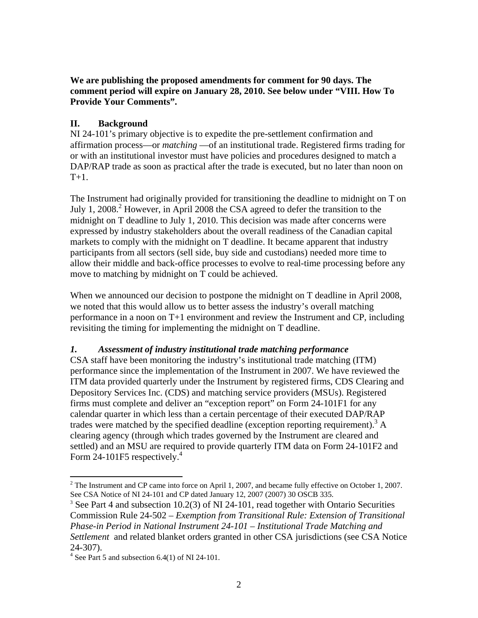**We are publishing the proposed amendments for comment for 90 days. The comment period will expire on January 28, 2010. See below under "VIII. How To Provide Your Comments".** 

## **II. Background**

NI 24-101's primary objective is to expedite the pre-settlement confirmation and affirmation process—or *matching* —of an institutional trade. Registered firms trading for or with an institutional investor must have policies and procedures designed to match a DAP/RAP trade as soon as practical after the trade is executed, but no later than noon on  $T+1$ .

The Instrument had originally provided for transitioning the deadline to midnight on T on July 1, 2008.<sup>2</sup> However, in April 2008 the CSA agreed to defer the transition to the midnight on T deadline to July 1, 2010. This decision was made after concerns were expressed by industry stakeholders about the overall readiness of the Canadian capital markets to comply with the midnight on T deadline. It became apparent that industry participants from all sectors (sell side, buy side and custodians) needed more time to allow their middle and back-office processes to evolve to real-time processing before any move to matching by midnight on T could be achieved.

When we announced our decision to postpone the midnight on T deadline in April 2008, we noted that this would allow us to better assess the industry's overall matching performance in a noon on T+1 environment and review the Instrument and CP, including revisiting the timing for implementing the midnight on T deadline.

## *1. Assessment of industry institutional trade matching performance*

CSA staff have been monitoring the industry's institutional trade matching (ITM) performance since the implementation of the Instrument in 2007. We have reviewed the ITM data provided quarterly under the Instrument by registered firms, CDS Clearing and Depository Services Inc. (CDS) and matching service providers (MSUs). Registered firms must complete and deliver an "exception report" on Form 24-101F1 for any calendar quarter in which less than a certain percentage of their executed DAP/RAP trades were matched by the specified deadline (exception reporting requirement).<sup>3</sup> A clearing agency (through which trades governed by the Instrument are cleared and settled) and an MSU are required to provide quarterly ITM data on Form 24-101F2 and Form 24-101F5 respectively. $4$ 

<sup>&</sup>lt;sup>2</sup> The Instrument and CP came into force on April 1, 2007, and became fully effective on October 1, 2007. See CSA Notice of NI 24-101 and CP dated January 12, 2007 (2007) 30 OSCB 335.

<sup>&</sup>lt;sup>3</sup> See Part 4 and subsection 10.2(3) of NI 24-101, read together with Ontario Securities Commission Rule 24-502 – *Exemption from Transitional Rule: Extension of Transitional Phase-in Period in National Instrument 24-101 – Institutional Trade Matching and Settlement* and related blanket orders granted in other CSA jurisdictions (see CSA Notice 24-307).

 $4$  See Part 5 and subsection 6.4(1) of NI 24-101.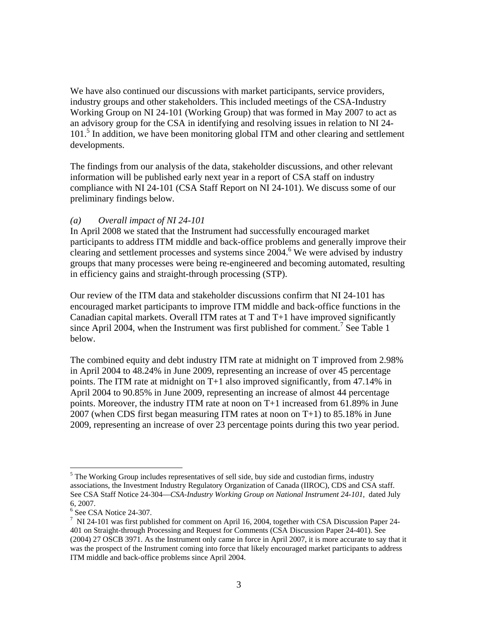We have also continued our discussions with market participants, service providers, industry groups and other stakeholders. This included meetings of the CSA-Industry Working Group on NI 24-101 (Working Group) that was formed in May 2007 to act as an advisory group for the CSA in identifying and resolving issues in relation to NI 24- 101.<sup>5</sup> In addition, we have been monitoring global ITM and other clearing and settlement developments.

The findings from our analysis of the data, stakeholder discussions, and other relevant information will be published early next year in a report of CSA staff on industry compliance with NI 24-101 (CSA Staff Report on NI 24-101). We discuss some of our preliminary findings below.

#### *(a) Overall impact of NI 24-101*

In April 2008 we stated that the Instrument had successfully encouraged market participants to address ITM middle and back-office problems and generally improve their clearing and settlement processes and systems since 2004.<sup>6</sup> We were advised by industry groups that many processes were being re-engineered and becoming automated, resulting in efficiency gains and straight-through processing (STP).

Our review of the ITM data and stakeholder discussions confirm that NI 24-101 has encouraged market participants to improve ITM middle and back-office functions in the Canadian capital markets. Overall ITM rates at T and T+1 have improved significantly since April 2004, when the Instrument was first published for comment.<sup>7</sup> See Table 1 below.

The combined equity and debt industry ITM rate at midnight on T improved from 2.98% in April 2004 to 48.24% in June 2009, representing an increase of over 45 percentage points. The ITM rate at midnight on T+1 also improved significantly, from 47.14% in April 2004 to 90.85% in June 2009, representing an increase of almost 44 percentage points. Moreover, the industry ITM rate at noon on T+1 increased from 61.89% in June 2007 (when CDS first began measuring ITM rates at noon on T+1) to 85.18% in June 2009, representing an increase of over 23 percentage points during this two year period.

 $\overline{a}$  $<sup>5</sup>$  The Working Group includes representatives of sell side, buy side and custodian firms, industry</sup> associations, the Investment Industry Regulatory Organization of Canada (IIROC), CDS and CSA staff. See CSA Staff Notice 24-304—*CSA-Industry Working Group on National Instrument 24-101*, dated July 6, 2007.

<sup>6</sup> See CSA Notice 24-307.

 $<sup>7</sup>$  NI 24-101 was first published for comment on April 16, 2004, together with CSA Discussion Paper 24-</sup> 401 on Straight-through Processing and Request for Comments (CSA Discussion Paper 24-401). See (2004) 27 OSCB 3971. As the Instrument only came in force in April 2007, it is more accurate to say that it was the prospect of the Instrument coming into force that likely encouraged market participants to address ITM middle and back-office problems since April 2004.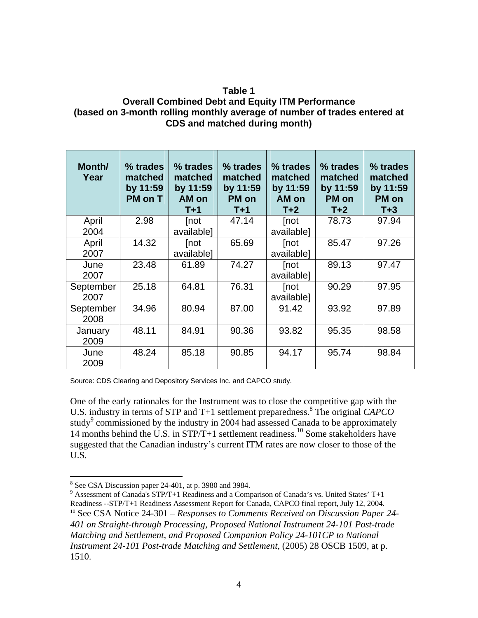## **Table 1 Overall Combined Debt and Equity ITM Performance (based on 3-month rolling monthly average of number of trades entered at CDS and matched during month)**

| Month/<br>Year    | % trades<br>matched<br>by 11:59<br>PM on T | % trades<br>matched<br>by 11:59<br>AM on<br>$T+1$ | % trades<br>matched<br>by 11:59<br><b>PM</b> on<br>$T+1$ | % trades<br>matched<br>by 11:59<br>AM on<br>$T+2$ | % trades<br>matched<br>by 11:59<br>PM on<br>$T+2$ | % trades<br>matched<br>by 11:59<br><b>PM</b> on<br>$T+3$ |
|-------------------|--------------------------------------------|---------------------------------------------------|----------------------------------------------------------|---------------------------------------------------|---------------------------------------------------|----------------------------------------------------------|
| April<br>2004     | 2.98                                       | [not<br>available]                                | 47.14                                                    | [not<br>available]                                | 78.73                                             | 97.94                                                    |
| April<br>2007     | 14.32                                      | [not<br>available]                                | 65.69                                                    | [not<br>available]                                | 85.47                                             | 97.26                                                    |
| June<br>2007      | 23.48                                      | 61.89                                             | 74.27                                                    | [not<br>available]                                | 89.13                                             | 97.47                                                    |
| September<br>2007 | 25.18                                      | 64.81                                             | 76.31                                                    | [not<br>available]                                | 90.29                                             | 97.95                                                    |
| September<br>2008 | 34.96                                      | 80.94                                             | 87.00                                                    | 91.42                                             | 93.92                                             | 97.89                                                    |
| January<br>2009   | 48.11                                      | 84.91                                             | 90.36                                                    | 93.82                                             | 95.35                                             | 98.58                                                    |
| June<br>2009      | 48.24                                      | 85.18                                             | 90.85                                                    | 94.17                                             | 95.74                                             | 98.84                                                    |

Source: CDS Clearing and Depository Services Inc. and CAPCO study.

One of the early rationales for the Instrument was to close the competitive gap with the U.S. industry in terms of STP and T+1 settlement preparedness.<sup>8</sup> The original *CAPCO* study<sup>9</sup> commissioned by the industry in 2004 had assessed Canada to be approximately 14 months behind the U.S. in  $STP/T+1$  settlement readiness.<sup>10</sup> Some stakeholders have suggested that the Canadian industry's current ITM rates are now closer to those of the U.S.

 $\overline{a}$ <sup>8</sup> See CSA Discussion paper 24-401, at p. 3980 and 3984.

<sup>&</sup>lt;sup>9</sup> Assessment of Canada's STP/T+1 Readiness and a Comparison of Canada's vs. United States' T+1 Readiness --STP/T+1 Readiness Assessment Report for Canada, CAPCO final report, July 12, 2004.<br><sup>10</sup> See CSA Notice 24-301 – *Responses to Comments Received on Discussion Paper 24*-*401 on Straight-through Processing, Proposed National Instrument 24-101 Post-trade Matching and Settlement, and Proposed Companion Policy 24-101CP to National Instrument 24-101 Post-trade Matching and Settlement*, (2005) 28 OSCB 1509, at p. 1510.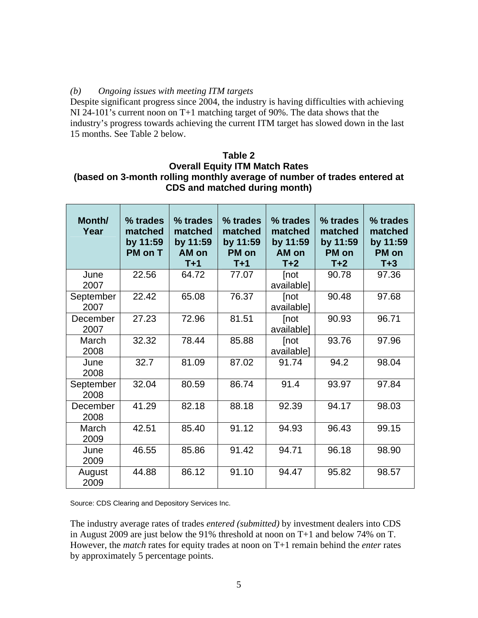## *(b) Ongoing issues with meeting ITM targets*

Despite significant progress since 2004, the industry is having difficulties with achieving NI 24-101's current noon on T+1 matching target of 90%. The data shows that the industry's progress towards achieving the current ITM target has slowed down in the last 15 months. See Table 2 below.

## **Table 2 Overall Equity ITM Match Rates (based on 3-month rolling monthly average of number of trades entered at CDS and matched during month)**

| Month/<br>Year    | % trades<br>matched<br>by 11:59<br>PM on T | % trades<br>matched<br>by 11:59<br>AM on<br>$T+1$ | % trades<br>matched<br>by 11:59<br>PM on<br>$T+1$ | % trades<br>matched<br>by 11:59<br>AM on<br>$T+2$ | % trades<br>matched<br>by 11:59<br>PM on<br>$T+2$ | % trades<br>matched<br>by 11:59<br>PM on<br>$T+3$ |
|-------------------|--------------------------------------------|---------------------------------------------------|---------------------------------------------------|---------------------------------------------------|---------------------------------------------------|---------------------------------------------------|
| June<br>2007      | 22.56                                      | 64.72                                             | 77.07                                             | [not<br>available]                                | 90.78                                             | 97.36                                             |
| September<br>2007 | 22.42                                      | 65.08                                             | 76.37                                             | [not<br>available]                                | 90.48                                             | 97.68                                             |
| December<br>2007  | 27.23                                      | 72.96                                             | 81.51                                             | [not<br>available]                                | 90.93                                             | 96.71                                             |
| March<br>2008     | 32.32                                      | 78.44                                             | 85.88                                             | [not<br>available]                                | 93.76                                             | 97.96                                             |
| June<br>2008      | 32.7                                       | 81.09                                             | 87.02                                             | 91.74                                             | 94.2                                              | 98.04                                             |
| September<br>2008 | 32.04                                      | 80.59                                             | 86.74                                             | 91.4                                              | 93.97                                             | 97.84                                             |
| December<br>2008  | 41.29                                      | 82.18                                             | 88.18                                             | 92.39                                             | 94.17                                             | 98.03                                             |
| March<br>2009     | 42.51                                      | 85.40                                             | 91.12                                             | 94.93                                             | 96.43                                             | 99.15                                             |
| June<br>2009      | 46.55                                      | 85.86                                             | 91.42                                             | 94.71                                             | 96.18                                             | 98.90                                             |
| August<br>2009    | 44.88                                      | 86.12                                             | 91.10                                             | 94.47                                             | 95.82                                             | 98.57                                             |

Source: CDS Clearing and Depository Services Inc.

The industry average rates of trades *entered (submitted)* by investment dealers into CDS in August 2009 are just below the 91% threshold at noon on T+1 and below 74% on T. However, the *match* rates for equity trades at noon on T+1 remain behind the *enter* rates by approximately 5 percentage points.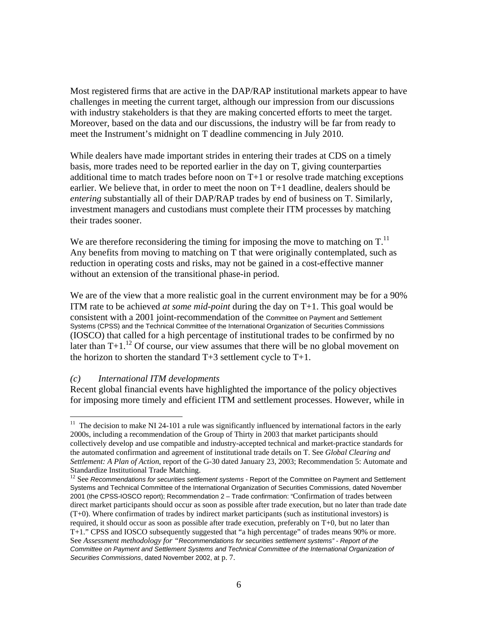Most registered firms that are active in the DAP/RAP institutional markets appear to have challenges in meeting the current target, although our impression from our discussions with industry stakeholders is that they are making concerted efforts to meet the target. Moreover, based on the data and our discussions, the industry will be far from ready to meet the Instrument's midnight on T deadline commencing in July 2010.

While dealers have made important strides in entering their trades at CDS on a timely basis, more trades need to be reported earlier in the day on T, giving counterparties additional time to match trades before noon on T+1 or resolve trade matching exceptions earlier. We believe that, in order to meet the noon on T+1 deadline, dealers should be *entering* substantially all of their DAP/RAP trades by end of business on T. Similarly, investment managers and custodians must complete their ITM processes by matching their trades sooner.

We are therefore reconsidering the timing for imposing the move to matching on  $T<sup>11</sup>$ Any benefits from moving to matching on T that were originally contemplated, such as reduction in operating costs and risks, may not be gained in a cost-effective manner without an extension of the transitional phase-in period.

We are of the view that a more realistic goal in the current environment may be for a 90% ITM rate to be achieved *at some mid-point* during the day on T+1. This goal would be consistent with a 2001 joint-recommendation of the Committee on Payment and Settlement Systems (CPSS) and the Technical Committee of the International Organization of Securities Commissions (IOSCO) that called for a high percentage of institutional trades to be confirmed by no later than  $T+1<sup>12</sup>$  Of course, our view assumes that there will be no global movement on the horizon to shorten the standard  $T+3$  settlement cycle to  $T+1$ .

#### *(c) International ITM developments*

 $\overline{a}$ 

Recent global financial events have highlighted the importance of the policy objectives for imposing more timely and efficient ITM and settlement processes. However, while in

 $11$  The decision to make NI 24-101 a rule was significantly influenced by international factors in the early 2000s, including a recommendation of the Group of Thirty in 2003 that market participants should collectively develop and use compatible and industry-accepted technical and market-practice standards for the automated confirmation and agreement of institutional trade details on T. See *Global Clearing and Settlement: A Plan of Action*, report of the G-30 dated January 23, 2003; Recommendation 5: Automate and Standardize Institutional Trade Matching.

<sup>&</sup>lt;sup>12</sup> See *Recommendations for securities settlement systems - Report of the Committee on Payment and Settlement* Systems and Technical Committee of the International Organization of Securities Commissions, dated November 2001 (the CPSS-IOSCO report); Recommendation 2 – Trade confirmation: "Confirmation of trades between direct market participants should occur as soon as possible after trade execution, but no later than trade date (T+0). Where confirmation of trades by indirect market participants (such as institutional investors) is required, it should occur as soon as possible after trade execution, preferably on T+0, but no later than T+1." CPSS and IOSCO subsequently suggested that "a high percentage" of trades means 90% or more. See *Assessment methodology for "Recommendations for securities settlement systems" - Report of the Committee on Payment and Settlement Systems and Technical Committee of the International Organization of Securities Commissions*, dated November 2002, at p. 7.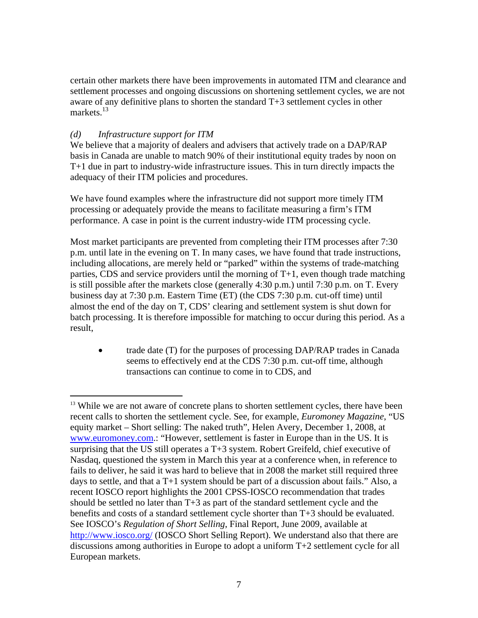certain other markets there have been improvements in automated ITM and clearance and settlement processes and ongoing discussions on shortening settlement cycles, we are not aware of any definitive plans to shorten the standard T+3 settlement cycles in other markets. $13$ 

#### *(d) Infrastructure support for ITM*

1

We believe that a majority of dealers and advisers that actively trade on a DAP/RAP basis in Canada are unable to match 90% of their institutional equity trades by noon on T+1 due in part to industry-wide infrastructure issues. This in turn directly impacts the adequacy of their ITM policies and procedures.

We have found examples where the infrastructure did not support more timely ITM processing or adequately provide the means to facilitate measuring a firm's ITM performance. A case in point is the current industry-wide ITM processing cycle.

Most market participants are prevented from completing their ITM processes after 7:30 p.m. until late in the evening on T. In many cases, we have found that trade instructions, including allocations, are merely held or "parked" within the systems of trade-matching parties, CDS and service providers until the morning of  $T+1$ , even though trade matching is still possible after the markets close (generally 4:30 p.m.) until 7:30 p.m. on T. Every business day at 7:30 p.m. Eastern Time (ET) (the CDS 7:30 p.m. cut-off time) until almost the end of the day on T, CDS' clearing and settlement system is shut down for batch processing. It is therefore impossible for matching to occur during this period. As a result,

• trade date (T) for the purposes of processing DAP/RAP trades in Canada seems to effectively end at the CDS 7:30 p.m. cut-off time, although transactions can continue to come in to CDS, and

<sup>&</sup>lt;sup>13</sup> While we are not aware of concrete plans to shorten settlement cycles, there have been recent calls to shorten the settlement cycle. See, for example, *Euromoney Magazine*, "US equity market – Short selling: The naked truth", Helen Avery, December 1, 2008, at www.euromoney.com.: "However, settlement is faster in Europe than in the US. It is surprising that the US still operates a T+3 system. Robert Greifeld, chief executive of Nasdaq, questioned the system in March this year at a conference when, in reference to fails to deliver, he said it was hard to believe that in 2008 the market still required three days to settle, and that a T+1 system should be part of a discussion about fails." Also, a recent IOSCO report highlights the 2001 CPSS-IOSCO recommendation that trades should be settled no later than T+3 as part of the standard settlement cycle and the benefits and costs of a standard settlement cycle shorter than T+3 should be evaluated. See IOSCO's *Regulation of Short Selling*, Final Report, June 2009, available at http://www.iosco.org/ (IOSCO Short Selling Report). We understand also that there are discussions among authorities in Europe to adopt a uniform T+2 settlement cycle for all European markets.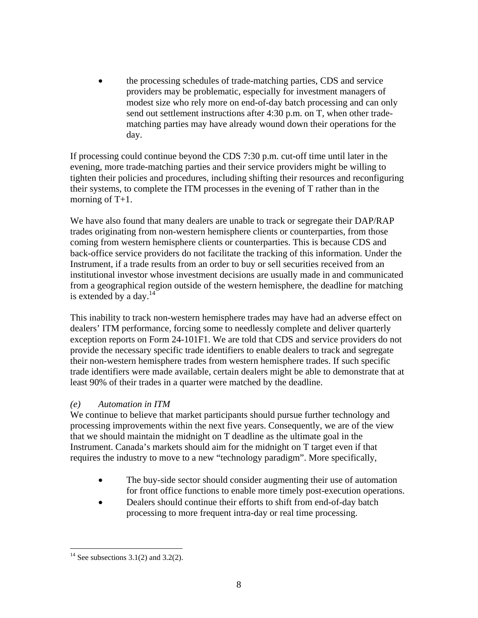• the processing schedules of trade-matching parties, CDS and service providers may be problematic, especially for investment managers of modest size who rely more on end-of-day batch processing and can only send out settlement instructions after 4:30 p.m. on T, when other tradematching parties may have already wound down their operations for the day.

If processing could continue beyond the CDS 7:30 p.m. cut-off time until later in the evening, more trade-matching parties and their service providers might be willing to tighten their policies and procedures, including shifting their resources and reconfiguring their systems, to complete the ITM processes in the evening of T rather than in the morning of  $T+1$ .

We have also found that many dealers are unable to track or segregate their DAP/RAP trades originating from non-western hemisphere clients or counterparties, from those coming from western hemisphere clients or counterparties. This is because CDS and back-office service providers do not facilitate the tracking of this information. Under the Instrument, if a trade results from an order to buy or sell securities received from an institutional investor whose investment decisions are usually made in and communicated from a geographical region outside of the western hemisphere, the deadline for matching is extended by a day. $^{14}$ 

This inability to track non-western hemisphere trades may have had an adverse effect on dealers' ITM performance, forcing some to needlessly complete and deliver quarterly exception reports on Form 24-101F1. We are told that CDS and service providers do not provide the necessary specific trade identifiers to enable dealers to track and segregate their non-western hemisphere trades from western hemisphere trades. If such specific trade identifiers were made available, certain dealers might be able to demonstrate that at least 90% of their trades in a quarter were matched by the deadline.

## *(e) Automation in ITM*

We continue to believe that market participants should pursue further technology and processing improvements within the next five years. Consequently, we are of the view that we should maintain the midnight on T deadline as the ultimate goal in the Instrument. Canada's markets should aim for the midnight on T target even if that requires the industry to move to a new "technology paradigm". More specifically,

- The buy-side sector should consider augmenting their use of automation for front office functions to enable more timely post-execution operations.
- Dealers should continue their efforts to shift from end-of-day batch processing to more frequent intra-day or real time processing.

<sup>&</sup>lt;sup>14</sup> See subsections 3.1(2) and 3.2(2).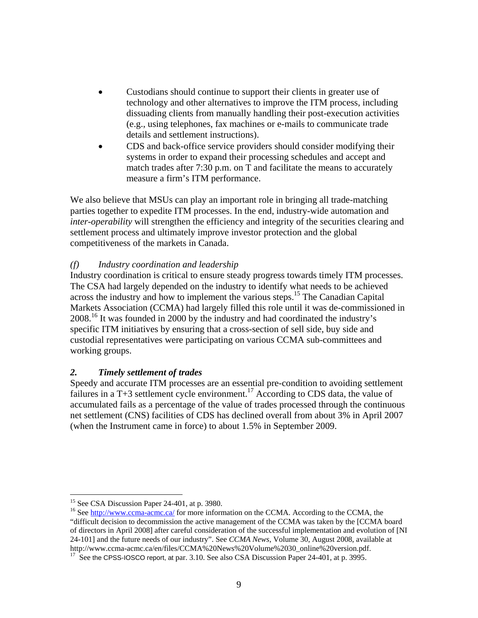- Custodians should continue to support their clients in greater use of technology and other alternatives to improve the ITM process, including dissuading clients from manually handling their post-execution activities (e.g., using telephones, fax machines or e-mails to communicate trade details and settlement instructions).
- CDS and back-office service providers should consider modifying their systems in order to expand their processing schedules and accept and match trades after 7:30 p.m. on T and facilitate the means to accurately measure a firm's ITM performance.

We also believe that MSUs can play an important role in bringing all trade-matching parties together to expedite ITM processes. In the end, industry-wide automation and *inter-operability* will strengthen the efficiency and integrity of the securities clearing and settlement process and ultimately improve investor protection and the global competitiveness of the markets in Canada.

## *(f) Industry coordination and leadership*

Industry coordination is critical to ensure steady progress towards timely ITM processes. The CSA had largely depended on the industry to identify what needs to be achieved across the industry and how to implement the various steps.15 The Canadian Capital Markets Association (CCMA) had largely filled this role until it was de-commissioned in 2008.<sup>16</sup> It was founded in 2000 by the industry and had coordinated the industry's specific ITM initiatives by ensuring that a cross-section of sell side, buy side and custodial representatives were participating on various CCMA sub-committees and working groups.

## *2. Timely settlement of trades*

Speedy and accurate ITM processes are an essential pre-condition to avoiding settlement failures in a T+3 settlement cycle environment.<sup>17</sup> According to CDS data, the value of accumulated fails as a percentage of the value of trades processed through the continuous net settlement (CNS) facilities of CDS has declined overall from about 3% in April 2007 (when the Instrument came in force) to about 1.5% in September 2009.

<sup>&</sup>lt;u>.</u>  $15$  See CSA Discussion Paper 24-401, at p. 3980.

<sup>&</sup>lt;sup>16</sup> See http://www.ccma-acmc.ca/ for more information on the CCMA. According to the CCMA, the "difficult decision to decommission the active management of the CCMA was taken by the [CCMA board of directors in April 2008] after careful consideration of the successful implementation and evolution of [NI 24-101] and the future needs of our industry". See *CCMA News*, Volume 30, August 2008, available at http://www.ccma-acmc.ca/en/files/CCMA%20News%20Volume%2030\_online%20version.pdf. <sup>17</sup> See the CPSS-IOSCO report, at par. 3.10. See also CSA Discussion Paper 24-401, at p. 3995.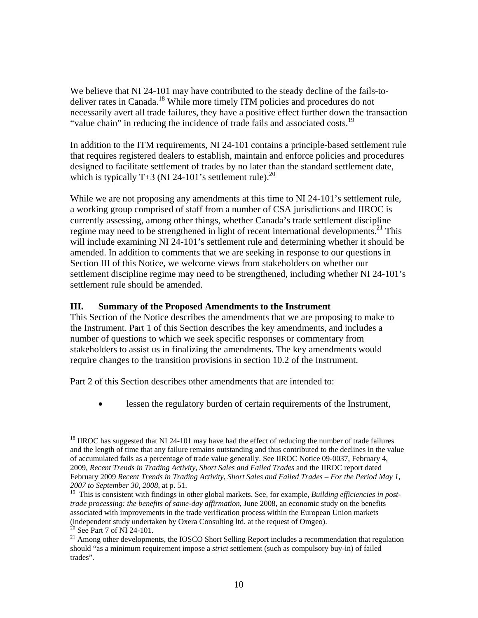We believe that NI 24-101 may have contributed to the steady decline of the fails-todeliver rates in Canada.<sup>18</sup> While more timely ITM policies and procedures do not necessarily avert all trade failures, they have a positive effect further down the transaction "value chain" in reducing the incidence of trade fails and associated costs.<sup>19</sup>

In addition to the ITM requirements, NI 24-101 contains a principle-based settlement rule that requires registered dealers to establish, maintain and enforce policies and procedures designed to facilitate settlement of trades by no later than the standard settlement date, which is typically T+3 (NI 24-101's settlement rule).<sup>20</sup>

While we are not proposing any amendments at this time to NI 24-101's settlement rule, a working group comprised of staff from a number of CSA jurisdictions and IIROC is currently assessing, among other things, whether Canada's trade settlement discipline regime may need to be strengthened in light of recent international developments.<sup>21</sup> This will include examining NI 24-101's settlement rule and determining whether it should be amended. In addition to comments that we are seeking in response to our questions in Section III of this Notice, we welcome views from stakeholders on whether our settlement discipline regime may need to be strengthened, including whether NI 24-101's settlement rule should be amended.

## **III. Summary of the Proposed Amendments to the Instrument**

This Section of the Notice describes the amendments that we are proposing to make to the Instrument. Part 1 of this Section describes the key amendments, and includes a number of questions to which we seek specific responses or commentary from stakeholders to assist us in finalizing the amendments. The key amendments would require changes to the transition provisions in section 10.2 of the Instrument.

Part 2 of this Section describes other amendments that are intended to:

• lessen the regulatory burden of certain requirements of the Instrument,

1

 $18$  IIROC has suggested that NI 24-101 may have had the effect of reducing the number of trade failures and the length of time that any failure remains outstanding and thus contributed to the declines in the value of accumulated fails as a percentage of trade value generally. See IIROC Notice 09-0037, February 4, 2009, *Recent Trends in Trading Activity, Short Sales and Failed Trades* and the IIROC report dated February 2009 *Recent Trends in Trading Activity, Short Sales and Failed Trades – For the Period May 1, 2007 to September 30, 2008*, at p. 51.

<sup>&</sup>lt;sup>19</sup> This is consistent with findings in other global markets. See, for example, *Building efficiencies in posttrade processing: the benefits of same-day affirmation*, June 2008, an economic study on the benefits associated with improvements in the trade verification process within the European Union markets (independent study undertaken by Oxera Consulting ltd. at the request of Omgeo).

<sup>&</sup>lt;sup>20</sup> See Part 7 of NI 24-101.

<sup>&</sup>lt;sup>21</sup> Among other developments, the IOSCO Short Selling Report includes a recommendation that regulation should "as a minimum requirement impose a *strict* settlement (such as compulsory buy-in) of failed trades".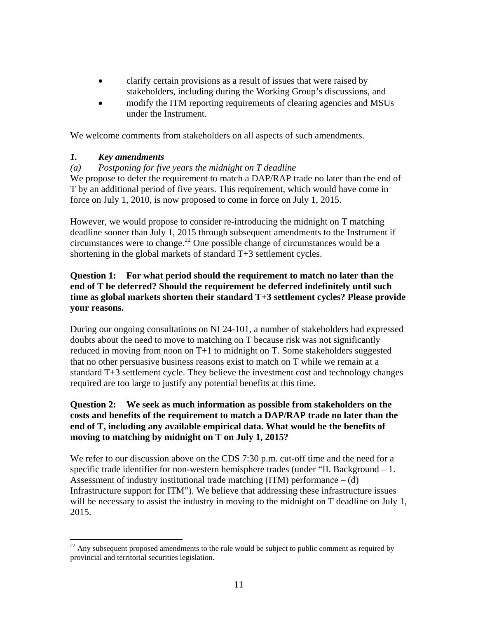- clarify certain provisions as a result of issues that were raised by stakeholders, including during the Working Group's discussions, and
- modify the ITM reporting requirements of clearing agencies and MSUs under the Instrument.

We welcome comments from stakeholders on all aspects of such amendments.

## *1. Key amendments*

## *(a) Postponing for five years the midnight on T deadline*

We propose to defer the requirement to match a DAP/RAP trade no later than the end of T by an additional period of five years. This requirement, which would have come in force on July 1, 2010, is now proposed to come in force on July 1, 2015.

However, we would propose to consider re-introducing the midnight on T matching deadline sooner than July 1, 2015 through subsequent amendments to the Instrument if circumstances were to change.22 One possible change of circumstances would be a shortening in the global markets of standard T+3 settlement cycles.

## **Question 1: For what period should the requirement to match no later than the end of T be deferred? Should the requirement be deferred indefinitely until such time as global markets shorten their standard T+3 settlement cycles? Please provide your reasons.**

During our ongoing consultations on NI 24-101, a number of stakeholders had expressed doubts about the need to move to matching on T because risk was not significantly reduced in moving from noon on T+1 to midnight on T. Some stakeholders suggested that no other persuasive business reasons exist to match on T while we remain at a standard T+3 settlement cycle. They believe the investment cost and technology changes required are too large to justify any potential benefits at this time.

## **Question 2: We seek as much information as possible from stakeholders on the costs and benefits of the requirement to match a DAP/RAP trade no later than the end of T, including any available empirical data. What would be the benefits of moving to matching by midnight on T on July 1, 2015?**

We refer to our discussion above on the CDS 7:30 p.m. cut-off time and the need for a specific trade identifier for non-western hemisphere trades (under "II. Background – 1. Assessment of industry institutional trade matching  $(ITM)$  performance  $-$  (d) Infrastructure support for ITM"). We believe that addressing these infrastructure issues will be necessary to assist the industry in moving to the midnight on T deadline on July 1, 2015.

 $\overline{a}$  $22$  Any subsequent proposed amendments to the rule would be subject to public comment as required by provincial and territorial securities legislation.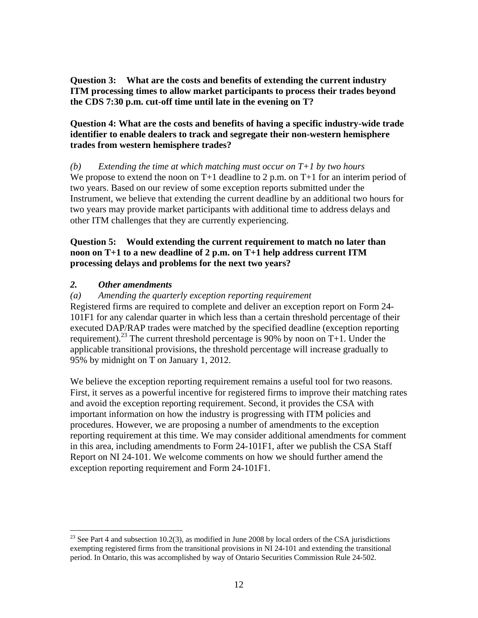**Question 3: What are the costs and benefits of extending the current industry ITM processing times to allow market participants to process their trades beyond the CDS 7:30 p.m. cut-off time until late in the evening on T?** 

## **Question 4: What are the costs and benefits of having a specific industry-wide trade identifier to enable dealers to track and segregate their non-western hemisphere trades from western hemisphere trades?**

*(b) Extending the time at which matching must occur on T+1 by two hours*  We propose to extend the noon on  $T+1$  deadline to 2 p.m. on  $T+1$  for an interim period of two years. Based on our review of some exception reports submitted under the Instrument, we believe that extending the current deadline by an additional two hours for two years may provide market participants with additional time to address delays and other ITM challenges that they are currently experiencing.

#### **Question 5: Would extending the current requirement to match no later than noon on T+1 to a new deadline of 2 p.m. on T+1 help address current ITM processing delays and problems for the next two years?**

## *2. Other amendments*

 $\overline{a}$ 

#### *(a) Amending the quarterly exception reporting requirement*

Registered firms are required to complete and deliver an exception report on Form 24- 101F1 for any calendar quarter in which less than a certain threshold percentage of their executed DAP/RAP trades were matched by the specified deadline (exception reporting requirement).<sup>23</sup> The current threshold percentage is 90% by noon on T+1. Under the applicable transitional provisions, the threshold percentage will increase gradually to 95% by midnight on T on January 1, 2012.

We believe the exception reporting requirement remains a useful tool for two reasons. First, it serves as a powerful incentive for registered firms to improve their matching rates and avoid the exception reporting requirement. Second, it provides the CSA with important information on how the industry is progressing with ITM policies and procedures. However, we are proposing a number of amendments to the exception reporting requirement at this time. We may consider additional amendments for comment in this area, including amendments to Form 24-101F1, after we publish the CSA Staff Report on NI 24-101. We welcome comments on how we should further amend the exception reporting requirement and Form 24-101F1.

 $^{23}$  See Part 4 and subsection 10.2(3), as modified in June 2008 by local orders of the CSA jurisdictions exempting registered firms from the transitional provisions in NI 24-101 and extending the transitional period. In Ontario, this was accomplished by way of Ontario Securities Commission Rule 24-502.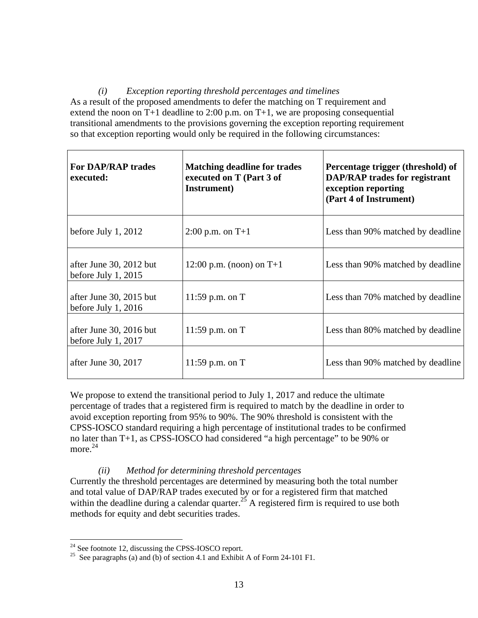*(i) Exception reporting threshold percentages and timelines*  As a result of the proposed amendments to defer the matching on T requirement and extend the noon on T+1 deadline to 2:00 p.m. on T+1, we are proposing consequential transitional amendments to the provisions governing the exception reporting requirement so that exception reporting would only be required in the following circumstances:

| <b>For DAP/RAP trades</b><br>executed:           | <b>Matching deadline for trades</b><br>executed on T (Part 3 of<br>Instrument) | Percentage trigger (threshold) of<br><b>DAP/RAP</b> trades for registrant<br>exception reporting<br>(Part 4 of Instrument) |
|--------------------------------------------------|--------------------------------------------------------------------------------|----------------------------------------------------------------------------------------------------------------------------|
| before July 1, $2012$                            | $2:00$ p.m. on T+1                                                             | Less than 90% matched by deadline                                                                                          |
| after June 30, 2012 but<br>before July 1, $2015$ | 12:00 p.m. (noon) on $T+1$                                                     | Less than 90% matched by deadline                                                                                          |
| after June 30, 2015 but<br>before July $1, 2016$ | 11:59 p.m. on $T$                                                              | Less than 70% matched by deadline                                                                                          |
| after June 30, 2016 but<br>before July 1, $2017$ | 11:59 p.m. on $T$                                                              | Less than 80% matched by deadline                                                                                          |
| after June 30, 2017<br>11:59 p.m. on $T$         |                                                                                | Less than 90% matched by deadline                                                                                          |

We propose to extend the transitional period to July 1, 2017 and reduce the ultimate percentage of trades that a registered firm is required to match by the deadline in order to avoid exception reporting from 95% to 90%. The 90% threshold is consistent with the CPSS-IOSCO standard requiring a high percentage of institutional trades to be confirmed no later than T+1, as CPSS-IOSCO had considered "a high percentage" to be 90% or more. 24

## *(ii) Method for determining threshold percentages*

Currently the threshold percentages are determined by measuring both the total number and total value of DAP/RAP trades executed by or for a registered firm that matched within the deadline during a calendar quarter.<sup>25</sup> A registered firm is required to use both methods for equity and debt securities trades.

 $24$  See footnote 12, discussing the CPSS-IOSCO report.

<sup>&</sup>lt;sup>25</sup> See paragraphs (a) and (b) of section 4.1 and Exhibit A of Form 24-101 F1.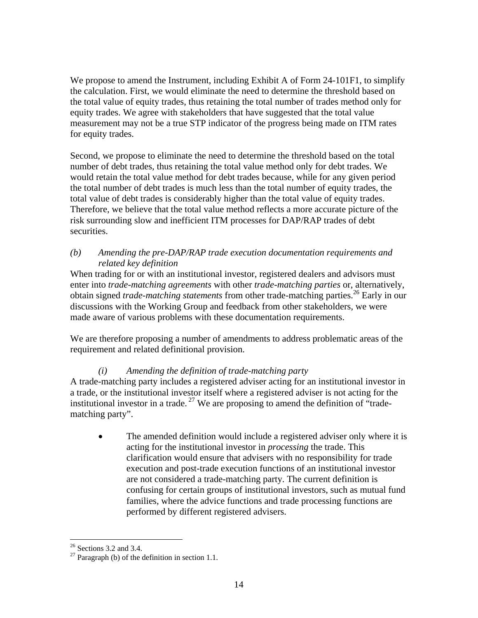We propose to amend the Instrument, including Exhibit A of Form 24-101F1, to simplify the calculation. First, we would eliminate the need to determine the threshold based on the total value of equity trades, thus retaining the total number of trades method only for equity trades. We agree with stakeholders that have suggested that the total value measurement may not be a true STP indicator of the progress being made on ITM rates for equity trades.

Second, we propose to eliminate the need to determine the threshold based on the total number of debt trades, thus retaining the total value method only for debt trades. We would retain the total value method for debt trades because, while for any given period the total number of debt trades is much less than the total number of equity trades, the total value of debt trades is considerably higher than the total value of equity trades. Therefore, we believe that the total value method reflects a more accurate picture of the risk surrounding slow and inefficient ITM processes for DAP/RAP trades of debt securities.

## *(b) Amending the pre-DAP/RAP trade execution documentation requirements and related key definition*

When trading for or with an institutional investor, registered dealers and advisors must enter into *trade-matching agreements* with other *trade-matching parties* or, alternatively, obtain signed *trade-matching statements* from other trade-matching parties.<sup>26</sup> Early in our discussions with the Working Group and feedback from other stakeholders, we were made aware of various problems with these documentation requirements.

We are therefore proposing a number of amendments to address problematic areas of the requirement and related definitional provision.

# *(i) Amending the definition of trade-matching party*

A trade-matching party includes a registered adviser acting for an institutional investor in a trade, or the institutional investor itself where a registered adviser is not acting for the institutional investor in a trade.<sup>27</sup> We are proposing to amend the definition of "tradematching party".

• The amended definition would include a registered adviser only where it is acting for the institutional investor in *processing* the trade. This clarification would ensure that advisers with no responsibility for trade execution and post-trade execution functions of an institutional investor are not considered a trade-matching party. The current definition is confusing for certain groups of institutional investors, such as mutual fund families, where the advice functions and trade processing functions are performed by different registered advisers.

 $26$  Sections 3.2 and 3.4.

<sup>&</sup>lt;sup>27</sup> Paragraph (b) of the definition in section 1.1.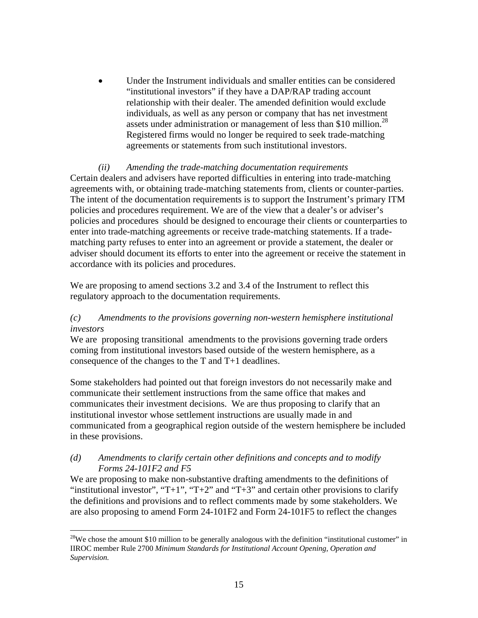Under the Instrument individuals and smaller entities can be considered "institutional investors" if they have a DAP/RAP trading account relationship with their dealer. The amended definition would exclude individuals, as well as any person or company that has net investment assets under administration or management of less than \$10 million.<sup>28</sup> Registered firms would no longer be required to seek trade-matching agreements or statements from such institutional investors.

#### *(ii) Amending the trade-matching documentation requirements*

Certain dealers and advisers have reported difficulties in entering into trade-matching agreements with, or obtaining trade-matching statements from, clients or counter-parties. The intent of the documentation requirements is to support the Instrument's primary ITM policies and procedures requirement. We are of the view that a dealer's or adviser's policies and procedures should be designed to encourage their clients or counterparties to enter into trade-matching agreements or receive trade-matching statements. If a tradematching party refuses to enter into an agreement or provide a statement, the dealer or adviser should document its efforts to enter into the agreement or receive the statement in accordance with its policies and procedures.

We are proposing to amend sections 3.2 and 3.4 of the Instrument to reflect this regulatory approach to the documentation requirements.

## *(c) Amendments to the provisions governing non-western hemisphere institutional investors*

We are proposing transitional amendments to the provisions governing trade orders coming from institutional investors based outside of the western hemisphere, as a consequence of the changes to the T and T+1 deadlines.

Some stakeholders had pointed out that foreign investors do not necessarily make and communicate their settlement instructions from the same office that makes and communicates their investment decisions. We are thus proposing to clarify that an institutional investor whose settlement instructions are usually made in and communicated from a geographical region outside of the western hemisphere be included in these provisions.

#### *(d) Amendments to clarify certain other definitions and concepts and to modify Forms 24-101F2 and F5*

1

We are proposing to make non-substantive drafting amendments to the definitions of "institutional investor", "T+1", "T+2" and "T+3" and certain other provisions to clarify the definitions and provisions and to reflect comments made by some stakeholders. We are also proposing to amend Form 24-101F2 and Form 24-101F5 to reflect the changes

 $28$ We chose the amount \$10 million to be generally analogous with the definition "institutional customer" in IIROC member Rule 2700 *Minimum Standards for Institutional Account Opening, Operation and Supervision.*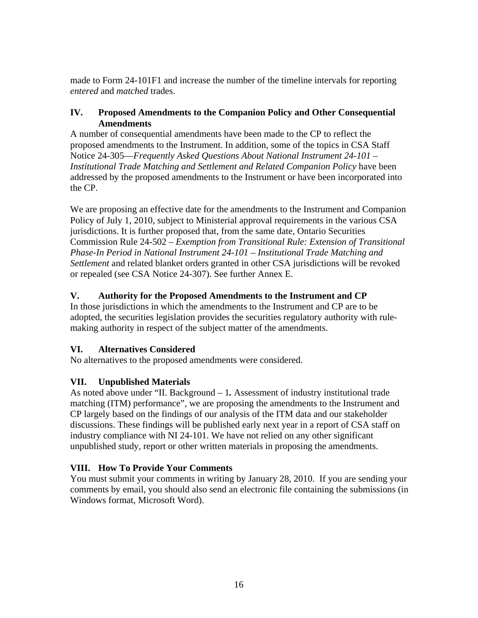made to Form 24-101F1 and increase the number of the timeline intervals for reporting *entered* and *matched* trades.

## **IV. Proposed Amendments to the Companion Policy and Other Consequential Amendments**

A number of consequential amendments have been made to the CP to reflect the proposed amendments to the Instrument. In addition, some of the topics in CSA Staff Notice 24-305—*Frequently Asked Questions About National Instrument 24-101* – *Institutional Trade Matching and Settlement and Related Companion Policy* have been addressed by the proposed amendments to the Instrument or have been incorporated into the CP.

We are proposing an effective date for the amendments to the Instrument and Companion Policy of July 1, 2010, subject to Ministerial approval requirements in the various CSA jurisdictions. It is further proposed that, from the same date, Ontario Securities Commission Rule 24-502 – *Exemption from Transitional Rule: Extension of Transitional Phase-In Period in National Instrument 24-101 – Institutional Trade Matching and Settlement* and related blanket orders granted in other CSA jurisdictions will be revoked or repealed (see CSA Notice 24-307). See further Annex E.

# **V. Authority for the Proposed Amendments to the Instrument and CP**

In those jurisdictions in which the amendments to the Instrument and CP are to be adopted, the securities legislation provides the securities regulatory authority with rulemaking authority in respect of the subject matter of the amendments.

# **VI. Alternatives Considered**

No alternatives to the proposed amendments were considered.

# **VII. Unpublished Materials**

As noted above under "II. Background – 1*.* Assessment of industry institutional trade matching (ITM) performance", we are proposing the amendments to the Instrument and CP largely based on the findings of our analysis of the ITM data and our stakeholder discussions. These findings will be published early next year in a report of CSA staff on industry compliance with NI 24-101. We have not relied on any other significant unpublished study, report or other written materials in proposing the amendments.

# **VIII. How To Provide Your Comments**

You must submit your comments in writing by January 28, 2010. If you are sending your comments by email, you should also send an electronic file containing the submissions (in Windows format, Microsoft Word).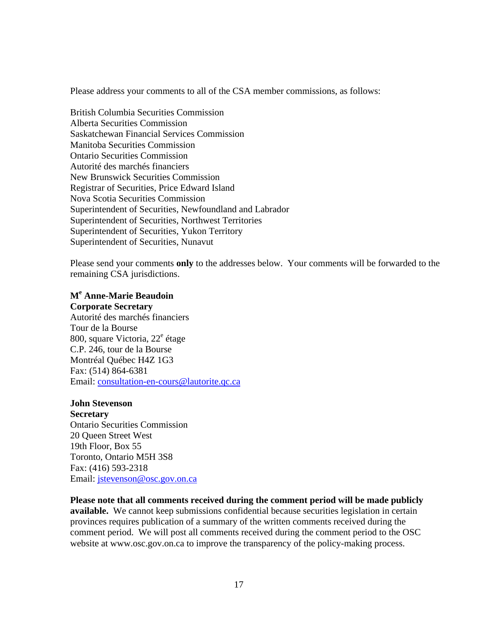Please address your comments to all of the CSA member commissions, as follows:

British Columbia Securities Commission Alberta Securities Commission Saskatchewan Financial Services Commission Manitoba Securities Commission Ontario Securities Commission Autorité des marchés financiers New Brunswick Securities Commission Registrar of Securities, Price Edward Island Nova Scotia Securities Commission Superintendent of Securities, Newfoundland and Labrador Superintendent of Securities, Northwest Territories Superintendent of Securities, Yukon Territory Superintendent of Securities, Nunavut

Please send your comments **only** to the addresses below. Your comments will be forwarded to the remaining CSA jurisdictions.

## **M<sup>e</sup> Anne-Marie Beaudoin**

**Corporate Secretary** 

Autorité des marchés financiers Tour de la Bourse 800, square Victoria, 22<sup>e</sup> étage C.P. 246, tour de la Bourse Montréal Québec H4Z 1G3 Fax: (514) 864-6381 Email: consultation-en-cours@lautorite.qc.ca

#### **John Stevenson**

**Secretary**  Ontario Securities Commission 20 Queen Street West 19th Floor, Box 55 Toronto, Ontario M5H 3S8 Fax: (416) 593-2318 Email: jstevenson@osc.gov.on.ca

## **Please note that all comments received during the comment period will be made publicly**

**available.** We cannot keep submissions confidential because securities legislation in certain provinces requires publication of a summary of the written comments received during the comment period. We will post all comments received during the comment period to the OSC website at www.osc.gov.on.ca to improve the transparency of the policy-making process.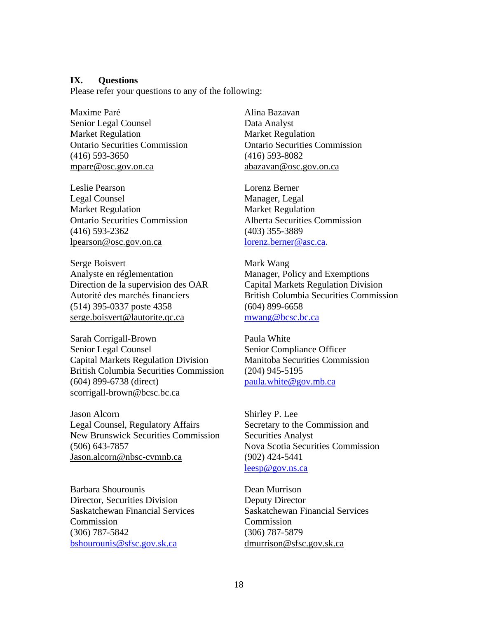#### **IX. Questions**

Please refer your questions to any of the following:

Maxime Paré Senior Legal Counsel Market Regulation Ontario Securities Commission (416) 593-3650 mpare@osc.gov.on.ca

Leslie Pearson Legal Counsel Market Regulation Ontario Securities Commission (416) 593-2362 lpearson@osc.gov.on.ca

Serge Boisvert Analyste en réglementation Direction de la supervision des OAR Autorité des marchés financiers (514) 395-0337 poste 4358 serge.boisvert@lautorite.qc.ca

Sarah Corrigall-Brown Senior Legal Counsel Capital Markets Regulation Division British Columbia Securities Commission (604) 899-6738 (direct) scorrigall-brown@bcsc.bc.ca

Jason Alcorn Legal Counsel, Regulatory Affairs New Brunswick Securities Commission (506) 643-7857 Jason.alcorn@nbsc-cvmnb.ca

Barbara Shourounis Director, Securities Division Saskatchewan Financial Services Commission (306) 787-5842 bshourounis@sfsc.gov.sk.ca

Alina Bazavan Data Analyst Market Regulation Ontario Securities Commission (416) 593-8082 abazavan@osc.gov.on.ca

Lorenz Berner Manager, Legal Market Regulation Alberta Securities Commission (403) 355-3889 lorenz.berner@asc.ca.

Mark Wang Manager, Policy and Exemptions Capital Markets Regulation Division British Columbia Securities Commission (604) 899-6658 mwang@bcsc.bc.ca

Paula White Senior Compliance Officer Manitoba Securities Commission (204) 945-5195 paula.white@gov.mb.ca

Shirley P. Lee Secretary to the Commission and Securities Analyst Nova Scotia Securities Commission (902) 424-5441 leesp@gov.ns.ca

Dean Murrison Deputy Director Saskatchewan Financial Services Commission (306) 787-5879 dmurrison@sfsc.gov.sk.ca